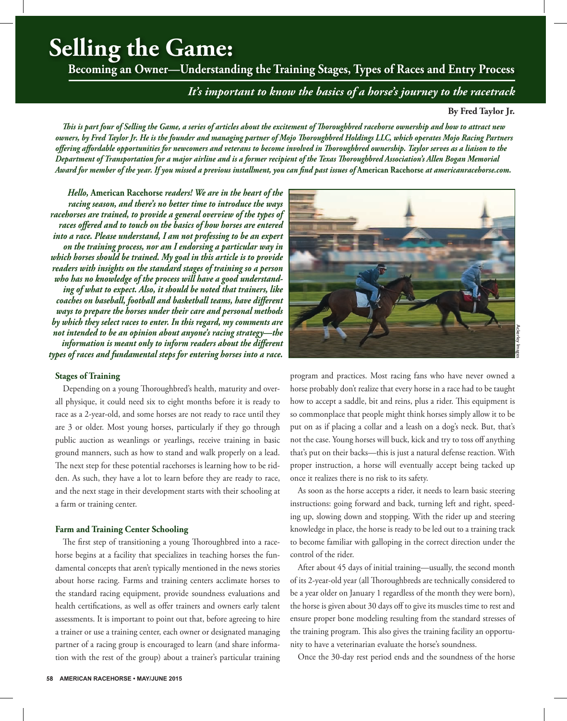# **Selling the Game:**

**Becoming an Owner—Understanding the Training Stages, Types of Races and Entry Process** 

*It's important to know the basics of a horse's journey to the racetrack*

**By Fred Taylor Jr.**

*This is part four of Selling the Game, a series of articles about the excitement of Thoroughbred racehorse ownership and how to attract new owners, by Fred Taylor Jr. He is the founder and managing partner of Mojo Thoroughbred Holdings LLC, which operates Mojo Racing Partners offering affordable opportunities for newcomers and veterans to become involved in Thoroughbred ownership. Taylor serves as a liaison to the Department of Transportation for a major airline and is a former recipient of the Texas Thoroughbred Association's Allen Bogan Memorial Award for member of the year. If you missed a previous installment, you can find past issues of* **American Racehorse** *at americanracehorse.com.*

*Hello,* **American Racehorse** *readers! We are in the heart of the racing season, and there's no better time to introduce the ways racehorses are trained, to provide a general overview of the types of races offered and to touch on the basics of how horses are entered into a race. Please understand, I am not professing to be an expert on the training process, nor am I endorsing a particular way in which horses should be trained. My goal in this article is to provide readers with insights on the standard stages of training so a person who has no knowledge of the process will have a good understanding of what to expect. Also, it should be noted that trainers, like coaches on baseball, football and basketball teams, have different ways to prepare the horses under their care and personal methods by which they select races to enter. In this regard, my comments are not intended to be an opinion about anyone's racing strategy—the information is meant only to inform readers about the different types of races and fundamental steps for entering horses into a race.*

#### **Stages of Training**

Depending on a young Thoroughbred's health, maturity and overall physique, it could need six to eight months before it is ready to race as a 2-year-old, and some horses are not ready to race until they are 3 or older. Most young horses, particularly if they go through public auction as weanlings or yearlings, receive training in basic ground manners, such as how to stand and walk properly on a lead. The next step for these potential racehorses is learning how to be ridden. As such, they have a lot to learn before they are ready to race, and the next stage in their development starts with their schooling at a farm or training center.

# **Farm and Training Center Schooling**

The first step of transitioning a young Thoroughbred into a racehorse begins at a facility that specializes in teaching horses the fundamental concepts that aren't typically mentioned in the news stories about horse racing. Farms and training centers acclimate horses to the standard racing equipment, provide soundness evaluations and health certifications, as well as offer trainers and owners early talent assessments. It is important to point out that, before agreeing to hire a trainer or use a training center, each owner or designated managing partner of a racing group is encouraged to learn (and share information with the rest of the group) about a trainer's particular training



program and practices. Most racing fans who have never owned a horse probably don't realize that every horse in a race had to be taught how to accept a saddle, bit and reins, plus a rider. This equipment is so commonplace that people might think horses simply allow it to be put on as if placing a collar and a leash on a dog's neck. But, that's not the case. Young horses will buck, kick and try to toss off anything that's put on their backs—this is just a natural defense reaction. With proper instruction, a horse will eventually accept being tacked up once it realizes there is no risk to its safety.

As soon as the horse accepts a rider, it needs to learn basic steering instructions: going forward and back, turning left and right, speeding up, slowing down and stopping. With the rider up and steering knowledge in place, the horse is ready to be led out to a training track to become familiar with galloping in the correct direction under the control of the rider.

After about 45 days of initial training—usually, the second month of its 2-year-old year (all Thoroughbreds are technically considered to be a year older on January 1 regardless of the month they were born), the horse is given about 30 days off to give its muscles time to rest and ensure proper bone modeling resulting from the standard stresses of the training program. This also gives the training facility an opportunity to have a veterinarian evaluate the horse's soundness.

Once the 30-day rest period ends and the soundness of the horse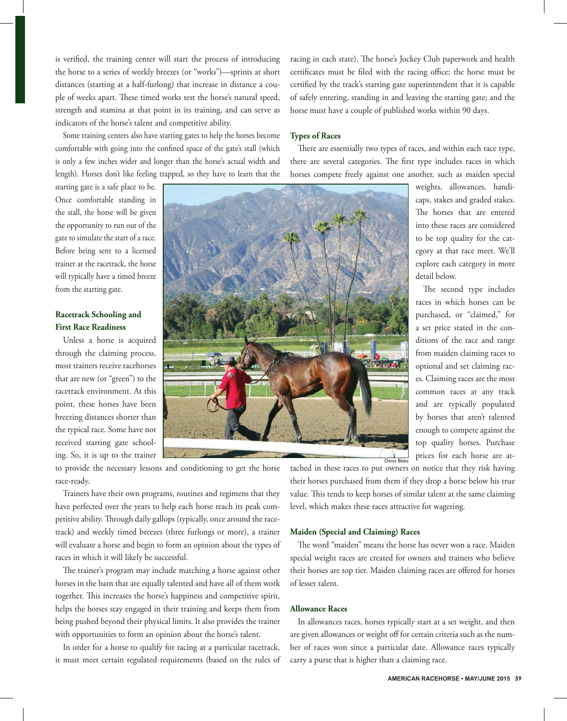is verified, the training center will start the process of introducing the horse to a series of weekly breezes (or "works")—sprints at short distances (starting at a half-furlong) that increase in distance a couple of weeks apart. These timed works test the horse's natural speed, strength and stamina at that point in its training, and can serve as indicators of the horse's talent and competitive ability.

Some training centers also have starting gates to help the horses become comfortable with going into the confined space of the gate's stall (which is only a few inches wider and longer than the horse's actual width and length). Horses don't like feeling trapped, so they have to learn that the

starting gate is a safe place to be. Once comfortable standing in the stall, the horse will be given the opportunity to run out of the gate to simulate the start of a race. Before being sent to a licensed trainer at the racetrack, the horse will typically have a timed breeze from the starting gate.

# **Racetrack Schooling and First Race Readiness**

Unless a horse is acquired through the claiming process, most trainers receive racehorses that are new (or "green") to the racetrack environment. At this point, these horses have been breezing distances shorter than the typical race. Some have not received starting gate schooling. So, it is up to the trainer



racing in each state). The horse's Jockey Club paperwork and health certificates must be filed with the racing office; the horse must be certified by the track's starting gate superintendent that it is capable of safely entering, standing in and leaving the starting gate; and the horse must have a couple of published works within 90 days.

#### **Types of Races**

There are essentially two types of races, and within each race type, there are several categories. The first type includes races in which horses compete freely against one another, such as maiden special

> weights, allowances, handicaps, stakes and graded stakes. The horses that are entered into these races are considered to be top quality for the category at that race meet. We'll explore each category in more detail below.

The second type includes races in which horses can be purchased, or "claimed," for a set price stated in the conditions of the race and range from maiden claiming races to optional and set claiming races. Claiming races are the most common races at any track and are typically populated by horses that aren't talented enough to compete against the top quality horses. Purchase prices for each horse are at-

to provide the necessary lessons and conditioning to get the horse race-ready.

Trainers have their own programs, routines and regimens that they have perfected over the years to help each horse reach its peak competitive ability. Through daily gallops (typically, once around the racetrack) and weekly timed breezes (three furlongs or more), a trainer will evaluate a horse and begin to form an opinion about the types of races in which it will likely be successful.

The trainer's program may include matching a horse against other horses in the barn that are equally talented and have all of them work together. This increases the horse's happiness and competitive spirit, helps the horses stay engaged in their training and keeps them from being pushed beyond their physical limits. It also provides the trainer with opportunities to form an opinion about the horse's talent.

In order for a horse to qualify for racing at a particular racetrack, it must meet certain regulated requirements (based on the rules of tached in these races to put owners on notice that they risk having their horses purchased from them if they drop a horse below his true value. This tends to keep horses of similar talent at the same claiming level, which makes these races attractive for wagering.

#### **Maiden (Special and Claiming) Races**

The word "maiden" means the horse has never won a race. Maiden special weight races are created for owners and trainers who believe their horses are top tier. Maiden claiming races are offered for horses of lesser talent.

## **Allowance Races**

In allowances races, horses typically start at a set weight, and then are given allowances or weight off for certain criteria such as the number of races won since a particular date. Allowance races typically carry a purse that is higher than a claiming race.